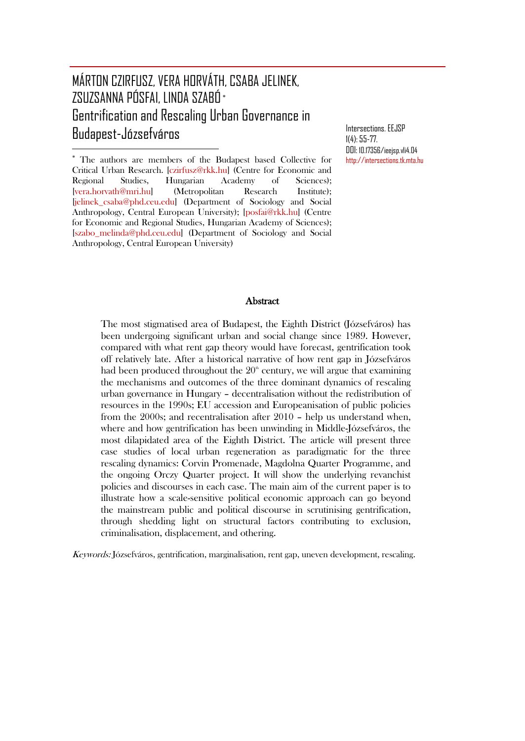# MÁRTON CZIRFUSZ, VERA HORVÁTH, CSABA JELINEK, ZSUZSANNA PÓSFAI, LINDA SZABÓ [∗](#page-0-0) Gentrification and Rescaling Urban Governance in Budapest-Józsefváros

 $\overline{a}$ 

Intersections. EEJSP 1(4): 55-77. DOI: 10.17356/ieejsp.v1i4.04 [http://intersections.tk.mta.hu](http://intersections.tk.mta.hu/)

<span id="page-0-0"></span><sup>∗</sup> The authors are members of the Budapest based Collective for Critical Urban Research. [\[czirfusz@rkk.hu\]](mailto:czirfusz@rkk.hu) (Centre for Economic and Regional Studies, Hungarian Academy of Sciences); [\[vera.horvath@mri.hu\]](mailto:vera.horvath@mri.hu) (Metropolitan Research Institute); [\[jelinek\\_csaba@phd.ceu.edu\]](mailto:jelinek_csaba@phd.ceu.edu) (Department of Sociology and Social Anthropology, Central European University); [\[posfai@rkk.hu\]](mailto:posfai@rkk.hu) (Centre for Economic and Regional Studies, Hungarian Academy of Sciences); [\[szabo\\_melinda@phd.ceu.edu\]](mailto:szabo_melinda@phd.ceu.edu) (Department of Sociology and Social Anthropology, Central European University)

#### **Abstract**

The most stigmatised area of Budapest, the Eighth District (Józsefváros) has been undergoing significant urban and social change since 1989. However, compared with what rent gap theory would have forecast, gentrification took off relatively late. After a historical narrative of how rent gap in Józsefváros had been produced throughout the  $20<sup>th</sup>$  century, we will argue that examining the mechanisms and outcomes of the three dominant dynamics of rescaling urban governance in Hungary – decentralisation without the redistribution of resources in the 1990s; EU accession and Europeanisation of public policies from the 2000s; and recentralisation after 2010 – help us understand when, where and how gentrification has been unwinding in Middle-Józsefváros, the most dilapidated area of the Eighth District. The article will present three case studies of local urban regeneration as paradigmatic for the three rescaling dynamics: Corvin Promenade, Magdolna Quarter Programme, and the ongoing Orczy Quarter project. It will show the underlying revanchist policies and discourses in each case. The main aim of the current paper is to illustrate how a scale-sensitive political economic approach can go beyond the mainstream public and political discourse in scrutinising gentrification, through shedding light on structural factors contributing to exclusion, criminalisation, displacement, and othering.

Keywords: Józsefváros, gentrification, marginalisation, rent gap, uneven development, rescaling.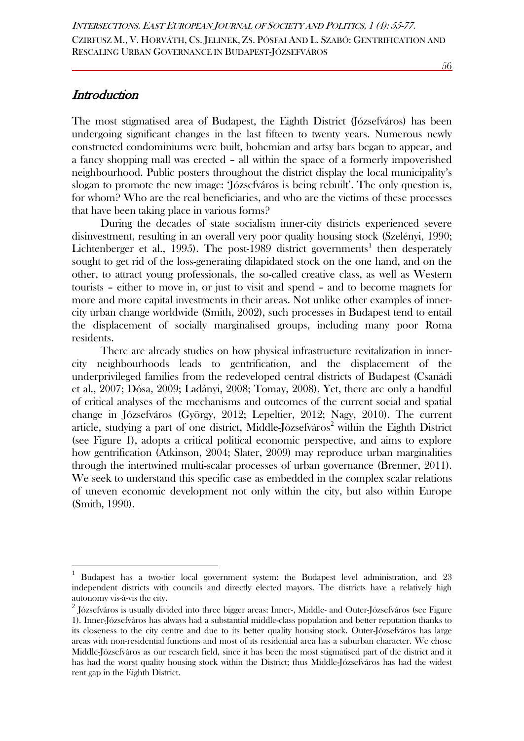## **Introduction**

The most stigmatised area of Budapest, the Eighth District (Józsefváros) has been undergoing significant changes in the last fifteen to twenty years. Numerous newly constructed condominiums were built, bohemian and artsy bars began to appear, and a fancy shopping mall was erected – all within the space of a formerly impoverished neighbourhood. Public posters throughout the district display the local municipality's slogan to promote the new image: 'Józsefváros is being rebuilt'. The only question is, for whom? Who are the real beneficiaries, and who are the victims of these processes that have been taking place in various forms?

During the decades of state socialism inner-city districts experienced severe disinvestment, resulting in an overall very poor quality housing stock (Szelényi, 1990; Lichtenberger et al., [1](#page-1-0)995). The post-1989 district governments<sup>1</sup> then desperately sought to get rid of the loss-generating dilapidated stock on the one hand, and on the other, to attract young professionals, the so-called creative class, as well as Western tourists – either to move in, or just to visit and spend – and to become magnets for more and more capital investments in their areas. Not unlike other examples of innercity urban change worldwide (Smith, 2002), such processes in Budapest tend to entail the displacement of socially marginalised groups, including many poor Roma residents.

There are already studies on how physical infrastructure revitalization in innercity neighbourhoods leads to gentrification, and the displacement of the underprivileged families from the redeveloped central districts of Budapest (Csanádi et al., 2007; Dósa, 2009; Ladányi, 2008; Tomay, 2008). Yet, there are only a handful of critical analyses of the mechanisms and outcomes of the current social and spatial change in Józsefváros (György, 2012; Lepeltier, 2012; Nagy, 2010). The current article, studying a part of one district, Middle-Józsefváros<sup>[2](#page-1-1)</sup> within the Eighth District (see Figure 1), adopts a critical political economic perspective, and aims to explore how gentrification (Atkinson, 2004; Slater, 2009) may reproduce urban marginalities through the intertwined multi-scalar processes of urban governance (Brenner, 2011). We seek to understand this specific case as embedded in the complex scalar relations of uneven economic development not only within the city, but also within Europe (Smith, 1990).

<span id="page-1-0"></span> <sup>1</sup> Budapest has a two-tier local government system: the Budapest level administration, and 23 independent districts with councils and directly elected mayors. The districts have a relatively high autonomy vis-à-vis the city.

<span id="page-1-1"></span> $^{2}$  Józsefváros is usually divided into three bigger areas: Inner-, Middle- and Outer-Józsefváros (see Figure 1). Inner-Józsefváros has always had a substantial middle-class population and better reputation thanks to its closeness to the city centre and due to its better quality housing stock. Outer-Józsefváros has large areas with non-residential functions and most of its residential area has a suburban character. We chose Middle-Józsefváros as our research field, since it has been the most stigmatised part of the district and it has had the worst quality housing stock within the District; thus Middle-Józsefváros has had the widest rent gap in the Eighth District.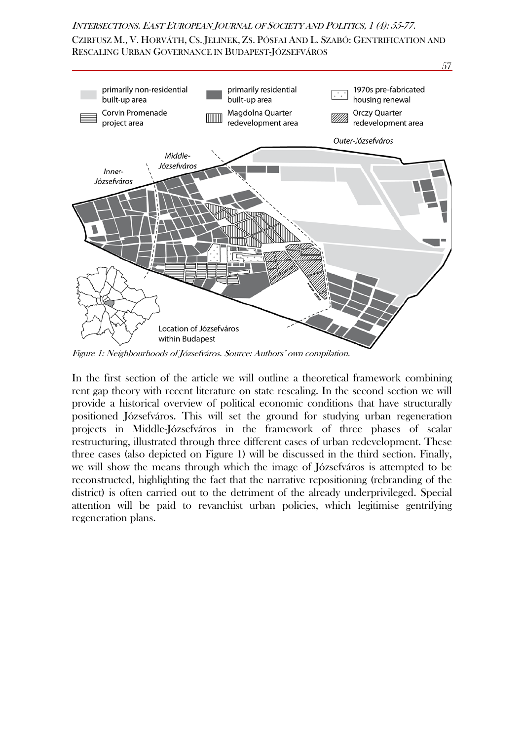CZIRFUSZ M., V. HORVÁTH, CS. JELINEK, ZS. PÓSFAI AND L. SZABÓ: GENTRIFICATION AND RESCALING URBAN GOVERNANCE IN BUDAPEST-JÓZSEFVÁROS



Figure 1: Neighbourhoods of Józsefváros. Source: Authors' own compilation.

In the first section of the article we will outline a theoretical framework combining rent gap theory with recent literature on state rescaling. In the second section we will provide a historical overview of political economic conditions that have structurally positioned Józsefváros. This will set the ground for studying urban regeneration projects in Middle-Józsefváros in the framework of three phases of scalar restructuring, illustrated through three different cases of urban redevelopment. These three cases (also depicted on Figure 1) will be discussed in the third section. Finally, we will show the means through which the image of Józsefváros is attempted to be reconstructed, highlighting the fact that the narrative repositioning (rebranding of the district) is often carried out to the detriment of the already underprivileged. Special attention will be paid to revanchist urban policies, which legitimise gentrifying regeneration plans.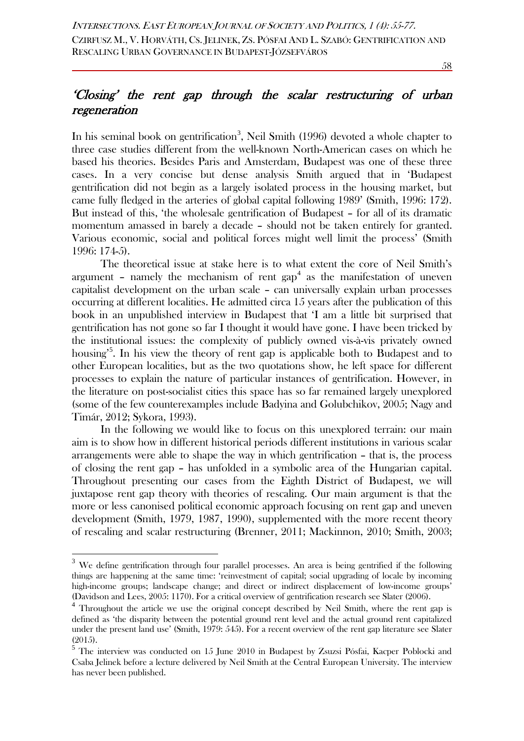58

## 'Closing' the rent gap through the scalar restructuring of urban regeneration

In his seminal book on gentrification<sup>[3](#page-3-0)</sup>, Neil Smith (1996) devoted a whole chapter to three case studies different from the well-known North-American cases on which he based his theories. Besides Paris and Amsterdam, Budapest was one of these three cases. In a very concise but dense analysis Smith argued that in 'Budapest gentrification did not begin as a largely isolated process in the housing market, but came fully fledged in the arteries of global capital following 1989' (Smith, 1996: 172). But instead of this, 'the wholesale gentrification of Budapest – for all of its dramatic momentum amassed in barely a decade – should not be taken entirely for granted. Various economic, social and political forces might well limit the process' (Smith 1996: 174-5).

The theoretical issue at stake here is to what extent the core of Neil Smith's argument – namely the mechanism of rent  $\text{gap}^4$  $\text{gap}^4$  as the manifestation of uneven capitalist development on the urban scale – can universally explain urban processes occurring at different localities. He admitted circa 15 years after the publication of this book in an unpublished interview in Budapest that 'I am a little bit surprised that gentrification has not gone so far I thought it would have gone. I have been tricked by the institutional issues: the complexity of publicly owned vis-à-vis privately owned housing<sup>3[5](#page-3-2)</sup>. In his view the theory of rent gap is applicable both to Budapest and to other European localities, but as the two quotations show, he left space for different processes to explain the nature of particular instances of gentrification. However, in the literature on post-socialist cities this space has so far remained largely unexplored (some of the few counterexamples include Badyina and Golubchikov, 2005; Nagy and Timár, 2012; Sykora, 1993).

In the following we would like to focus on this unexplored terrain: our main aim is to show how in different historical periods different institutions in various scalar arrangements were able to shape the way in which gentrification – that is, the process of closing the rent gap – has unfolded in a symbolic area of the Hungarian capital. Throughout presenting our cases from the Eighth District of Budapest, we will juxtapose rent gap theory with theories of rescaling. Our main argument is that the more or less canonised political economic approach focusing on rent gap and uneven development (Smith, 1979, 1987, 1990), supplemented with the more recent theory of rescaling and scalar restructuring (Brenner, 2011; Mackinnon, 2010; Smith, 2003;

<span id="page-3-0"></span><sup>&</sup>lt;sup>3</sup> We define gentrification through four parallel processes. An area is being gentrified if the following things are happening at the same time: 'reinvestment of capital; social upgrading of locale by incoming high-income groups; landscape change; and direct or indirect displacement of low-income groups'

<span id="page-3-1"></span><sup>(</sup>Davidson and Lees, 2005: 1170). For a critical overview of gentrification research see Slater (2006). <sup>4</sup> Throughout the article we use the original concept described by Neil Smith, where the rent gap is defined as 'the disparity between the potential ground rent level and the actual ground rent capitalized under the present land use' (Smith, 1979: 545). For a recent overview of the rent gap literature see Slater (2015).

<span id="page-3-2"></span><sup>5</sup> The interview was conducted on 15 June 2010 in Budapest by Zsuzsi Pósfai, Kacper Poblocki and Csaba Jelinek before a lecture delivered by Neil Smith at the Central European University. The interview has never been published.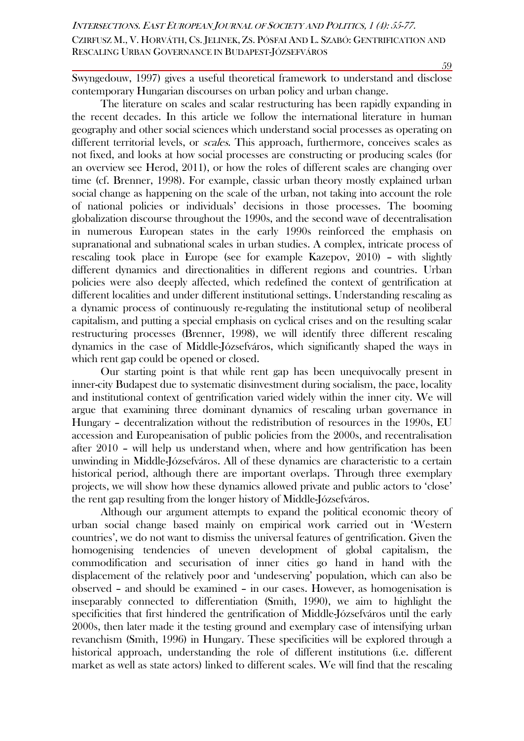Swyngedouw, 1997) gives a useful theoretical framework to understand and disclose contemporary Hungarian discourses on urban policy and urban change.

The literature on scales and scalar restructuring has been rapidly expanding in the recent decades. In this article we follow the international literature in human geography and other social sciences which understand social processes as operating on different territorial levels, or *scales*. This approach, furthermore, conceives scales as not fixed, and looks at how social processes are constructing or producing scales (for an overview see Herod, 2011), or how the roles of different scales are changing over time (cf. Brenner, 1998). For example, classic urban theory mostly explained urban social change as happening on the scale of the urban, not taking into account the role of national policies or individuals' decisions in those processes. The booming globalization discourse throughout the 1990s, and the second wave of decentralisation in numerous European states in the early 1990s reinforced the emphasis on supranational and subnational scales in urban studies. A complex, intricate process of rescaling took place in Europe (see for example Kazepov, 2010) – with slightly different dynamics and directionalities in different regions and countries. Urban policies were also deeply affected, which redefined the context of gentrification at different localities and under different institutional settings. Understanding rescaling as a dynamic process of continuously re-regulating the institutional setup of neoliberal capitalism, and putting a special emphasis on cyclical crises and on the resulting scalar restructuring processes (Brenner, 1998), we will identify three different rescaling dynamics in the case of Middle-Józsefváros, which significantly shaped the ways in which rent gap could be opened or closed.

Our starting point is that while rent gap has been unequivocally present in inner-city Budapest due to systematic disinvestment during socialism, the pace, locality and institutional context of gentrification varied widely within the inner city. We will argue that examining three dominant dynamics of rescaling urban governance in Hungary – decentralization without the redistribution of resources in the 1990s, EU accession and Europeanisation of public policies from the 2000s, and recentralisation after 2010 – will help us understand when, where and how gentrification has been unwinding in Middle-Józsefváros. All of these dynamics are characteristic to a certain historical period, although there are important overlaps. Through three exemplary projects, we will show how these dynamics allowed private and public actors to 'close' the rent gap resulting from the longer history of Middle-Józsefváros.

Although our argument attempts to expand the political economic theory of urban social change based mainly on empirical work carried out in 'Western countries', we do not want to dismiss the universal features of gentrification. Given the homogenising tendencies of uneven development of global capitalism, the commodification and securisation of inner cities go hand in hand with the displacement of the relatively poor and 'undeserving' population, which can also be observed – and should be examined – in our cases. However, as homogenisation is inseparably connected to differentiation (Smith, 1990), we aim to highlight the specificities that first hindered the gentrification of Middle-Józsefváros until the early 2000s, then later made it the testing ground and exemplary case of intensifying urban revanchism (Smith, 1996) in Hungary. These specificities will be explored through a historical approach, understanding the role of different institutions (i.e. different market as well as state actors) linked to different scales. We will find that the rescaling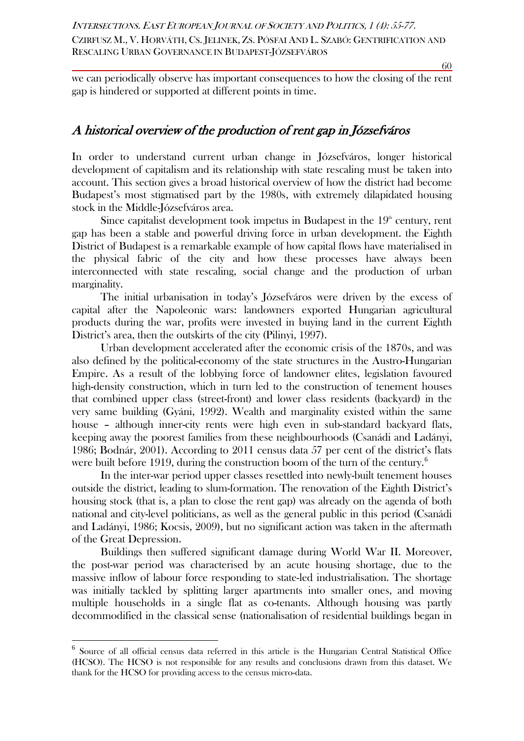we can periodically observe has important consequences to how the closing of the rent gap is hindered or supported at different points in time.

## A historical overview of the production of rent gap in Józsefváros

In order to understand current urban change in Józsefváros, longer historical development of capitalism and its relationship with state rescaling must be taken into account. This section gives a broad historical overview of how the district had become Budapest's most stigmatised part by the 1980s, with extremely dilapidated housing stock in the Middle-Józsefváros area.

Since capitalist development took impetus in Budapest in the  $19<sup>th</sup>$  century, rent gap has been a stable and powerful driving force in urban development. the Eighth District of Budapest is a remarkable example of how capital flows have materialised in the physical fabric of the city and how these processes have always been interconnected with state rescaling, social change and the production of urban marginality.

The initial urbanisation in today's Józsefváros were driven by the excess of capital after the Napoleonic wars: landowners exported Hungarian agricultural products during the war, profits were invested in buying land in the current Eighth District's area, then the outskirts of the city (Pilinyi, 1997).

Urban development accelerated after the economic crisis of the 1870s, and was also defined by the political-economy of the state structures in the Austro-Hungarian Empire. As a result of the lobbying force of landowner elites, legislation favoured high-density construction, which in turn led to the construction of tenement houses that combined upper class (street-front) and lower class residents (backyard) in the very same building (Gyáni, 1992). Wealth and marginality existed within the same house – although inner-city rents were high even in sub-standard backyard flats, keeping away the poorest families from these neighbourhoods (Csanádi and Ladányi, 1986; Bodnár, 2001). According to 2011 census data 57 per cent of the district's flats were built before 1919, during the construction boom of the turn of the century.<sup>[6](#page-5-0)</sup>

In the inter-war period upper classes resettled into newly-built tenement houses outside the district, leading to slum-formation. The renovation of the Eighth District's housing stock (that is, a plan to close the rent gap) was already on the agenda of both national and city-level politicians, as well as the general public in this period (Csanádi and Ladányi, 1986; Kocsis, 2009), but no significant action was taken in the aftermath of the Great Depression.

Buildings then suffered significant damage during World War II. Moreover, the post-war period was characterised by an acute housing shortage, due to the massive inflow of labour force responding to state-led industrialisation. The shortage was initially tackled by splitting larger apartments into smaller ones, and moving multiple households in a single flat as co-tenants. Although housing was partly decommodified in the classical sense (nationalisation of residential buildings began in

<span id="page-5-0"></span> <sup>6</sup> Source of all official census data referred in this article is the Hungarian Central Statistical Office (HCSO). The HCSO is not responsible for any results and conclusions drawn from this dataset. We thank for the HCSO for providing access to the census micro-data.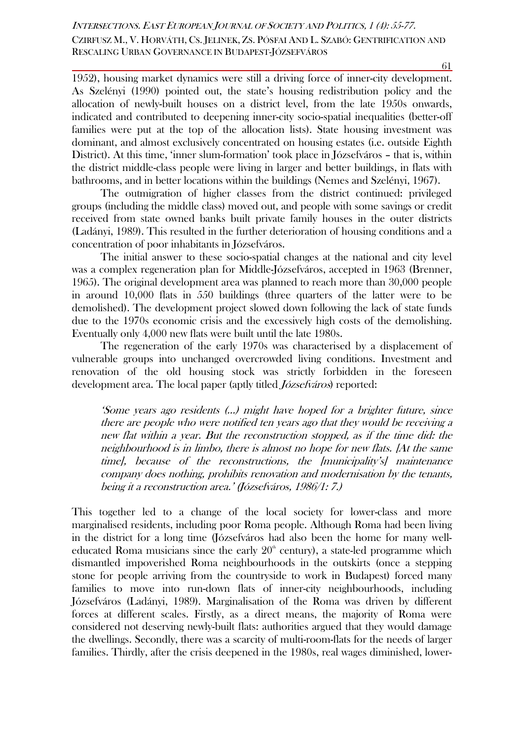1952), housing market dynamics were still a driving force of inner-city development. As Szelényi (1990) pointed out, the state's housing redistribution policy and the allocation of newly-built houses on a district level, from the late 1950s onwards, indicated and contributed to deepening inner-city socio-spatial inequalities (better-off families were put at the top of the allocation lists). State housing investment was dominant, and almost exclusively concentrated on housing estates (i.e. outside Eighth District). At this time, 'inner slum-formation' took place in Józsefváros – that is, within the district middle-class people were living in larger and better buildings, in flats with bathrooms, and in better locations within the buildings (Nemes and Szelényi, 1967).

The outmigration of higher classes from the district continued: privileged groups (including the middle class) moved out, and people with some savings or credit received from state owned banks built private family houses in the outer districts (Ladányi, 1989). This resulted in the further deterioration of housing conditions and a concentration of poor inhabitants in Józsefváros.

The initial answer to these socio-spatial changes at the national and city level was a complex regeneration plan for Middle-Józsefváros, accepted in 1963 (Brenner, 1965). The original development area was planned to reach more than 30,000 people in around 10,000 flats in 550 buildings (three quarters of the latter were to be demolished). The development project slowed down following the lack of state funds due to the 1970s economic crisis and the excessively high costs of the demolishing. Eventually only 4,000 new flats were built until the late 1980s.

The regeneration of the early 1970s was characterised by a displacement of vulnerable groups into unchanged overcrowded living conditions. Investment and renovation of the old housing stock was strictly forbidden in the foreseen development area. The local paper (aptly titled *Józsefváros*) reported:

'Some years ago residents (…) might have hoped for a brighter future, since there are people who were notified ten years ago that they would be receiving a new flat within a year. But the reconstruction stopped, as if the time did: the neighbourhood is in limbo, there is almost no hope for new flats. [At the same time], because of the reconstructions, the [municipality's] maintenance company does nothing, prohibits renovation and modernisation by the tenants, being it a reconstruction area.' (Józsefváros, 1986/1: 7.)

This together led to a change of the local society for lower-class and more marginalised residents, including poor Roma people. Although Roma had been living in the district for a long time (Józsefváros had also been the home for many welleducated Roma musicians since the early  $20<sup>th</sup>$  century), a state-led programme which dismantled impoverished Roma neighbourhoods in the outskirts (once a stepping stone for people arriving from the countryside to work in Budapest) forced many families to move into run-down flats of inner-city neighbourhoods, including Józsefváros (Ladányi, 1989). Marginalisation of the Roma was driven by different forces at different scales. Firstly, as a direct means, the majority of Roma were considered not deserving newly-built flats: authorities argued that they would damage the dwellings. Secondly, there was a scarcity of multi-room-flats for the needs of larger families. Thirdly, after the crisis deepened in the 1980s, real wages diminished, lower-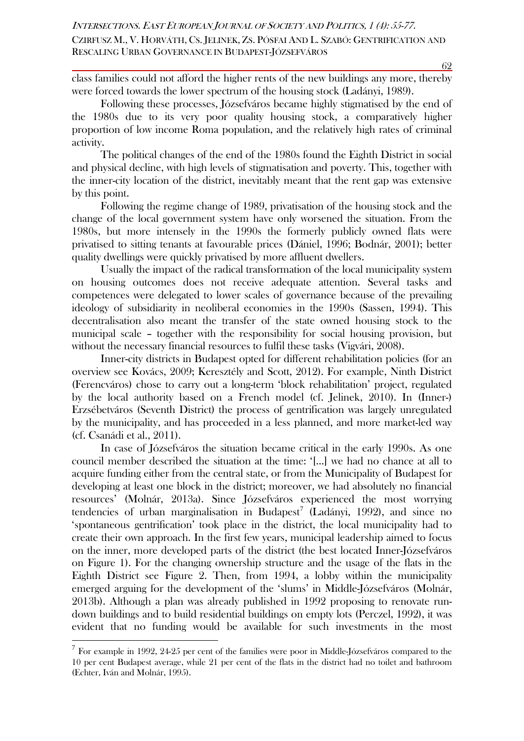class families could not afford the higher rents of the new buildings any more, thereby were forced towards the lower spectrum of the housing stock (Ladányi, 1989).

Following these processes, Józsefváros became highly stigmatised by the end of the 1980s due to its very poor quality housing stock, a comparatively higher proportion of low income Roma population, and the relatively high rates of criminal activity.

The political changes of the end of the 1980s found the Eighth District in social and physical decline, with high levels of stigmatisation and poverty. This, together with the inner-city location of the district, inevitably meant that the rent gap was extensive by this point.

Following the regime change of 1989, privatisation of the housing stock and the change of the local government system have only worsened the situation. From the 1980s, but more intensely in the 1990s the formerly publicly owned flats were privatised to sitting tenants at favourable prices (Dániel, 1996; Bodnár, 2001); better quality dwellings were quickly privatised by more affluent dwellers.

Usually the impact of the radical transformation of the local municipality system on housing outcomes does not receive adequate attention. Several tasks and competences were delegated to lower scales of governance because of the prevailing ideology of subsidiarity in neoliberal economies in the 1990s (Sassen, 1994). This decentralisation also meant the transfer of the state owned housing stock to the municipal scale – together with the responsibility for social housing provision, but without the necessary financial resources to fulfil these tasks (Vigvári, 2008).

Inner-city districts in Budapest opted for different rehabilitation policies (for an overview see Kovács, 2009; Keresztély and Scott, 2012). For example, Ninth District (Ferencváros) chose to carry out a long-term 'block rehabilitation' project, regulated by the local authority based on a French model (cf. Jelinek, 2010). In (Inner-) Erzsébetváros (Seventh District) the process of gentrification was largely unregulated by the municipality, and has proceeded in a less planned, and more market-led way (cf. Csanádi et al., 2011).

In case of Józsefváros the situation became critical in the early 1990s. As one council member described the situation at the time: '[…] we had no chance at all to acquire funding either from the central state, or from the Municipality of Budapest for developing at least one block in the district; moreover, we had absolutely no financial resources' (Molnár, 2013a). Since Józsefváros experienced the most worrying tendencies of urban marginalisation in Budapest<sup>[7](#page-7-0)</sup> (Ladányi, 1992), and since no 'spontaneous gentrification' took place in the district, the local municipality had to create their own approach. In the first few years, municipal leadership aimed to focus on the inner, more developed parts of the district (the best located Inner-Józsefváros on Figure 1). For the changing ownership structure and the usage of the flats in the Eighth District see Figure 2. Then, from 1994, a lobby within the municipality emerged arguing for the development of the 'slums' in Middle-Józsefváros (Molnár, 2013b). Although a plan was already published in 1992 proposing to renovate rundown buildings and to build residential buildings on empty lots (Perczel, 1992), it was evident that no funding would be available for such investments in the most

<span id="page-7-0"></span><sup>&</sup>lt;sup>7</sup> For example in 1992, 24-25 per cent of the families were poor in Middle-Józsefváros compared to the 10 per cent Budapest average, while 21 per cent of the flats in the district had no toilet and bathroom (Echter, Iván and Molnár, 1995).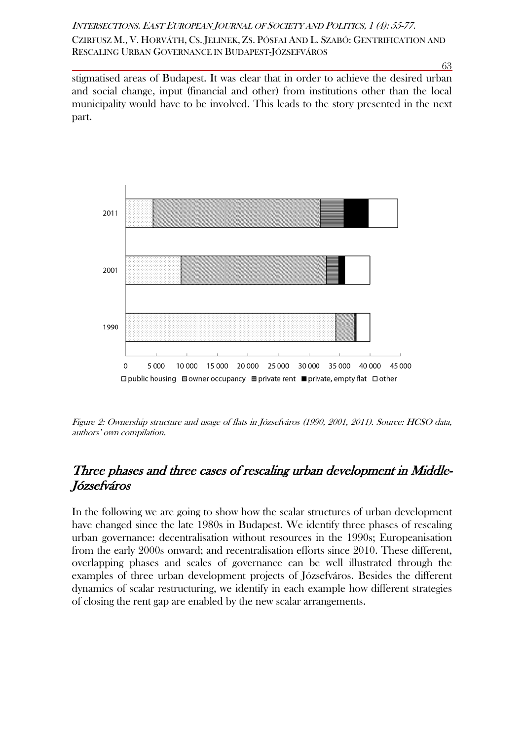63

stigmatised areas of Budapest. It was clear that in order to achieve the desired urban and social change, input (financial and other) from institutions other than the local municipality would have to be involved. This leads to the story presented in the next part.



Figure 2: Ownership structure and usage of flats in Józsefváros (1990, 2001, 2011). Source: HCSO data, authors' own compilation.

## Three phases and three cases of rescaling urban development in Middle-Józsefváros

In the following we are going to show how the scalar structures of urban development have changed since the late 1980s in Budapest. We identify three phases of rescaling urban governance: decentralisation without resources in the 1990s; Europeanisation from the early 2000s onward; and recentralisation efforts since 2010. These different, overlapping phases and scales of governance can be well illustrated through the examples of three urban development projects of Józsefváros. Besides the different dynamics of scalar restructuring, we identify in each example how different strategies of closing the rent gap are enabled by the new scalar arrangements.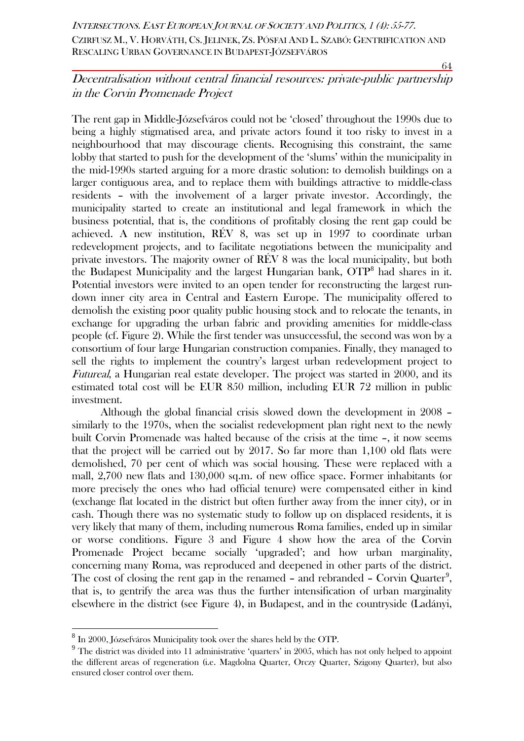64

## Decentralisation without central financial resources: private-public partnership in the Corvin Promenade Project

The rent gap in Middle-Józsefváros could not be 'closed' throughout the 1990s due to being a highly stigmatised area, and private actors found it too risky to invest in a neighbourhood that may discourage clients. Recognising this constraint, the same lobby that started to push for the development of the 'slums' within the municipality in the mid-1990s started arguing for a more drastic solution: to demolish buildings on a larger contiguous area, and to replace them with buildings attractive to middle-class residents – with the involvement of a larger private investor. Accordingly, the municipality started to create an institutional and legal framework in which the business potential, that is, the conditions of profitably closing the rent gap could be achieved. A new institution, RÉV 8, was set up in 1997 to coordinate urban redevelopment projects, and to facilitate negotiations between the municipality and private investors. The majority owner of RÉV 8 was the local municipality, but both the Budapest Municipality and the largest Hungarian bank,  $\overline{OTP}^8$  $\overline{OTP}^8$  had shares in it. Potential investors were invited to an open tender for reconstructing the largest rundown inner city area in Central and Eastern Europe. The municipality offered to demolish the existing poor quality public housing stock and to relocate the tenants, in exchange for upgrading the urban fabric and providing amenities for middle-class people (cf. Figure 2). While the first tender was unsuccessful, the second was won by a consortium of four large Hungarian construction companies. Finally, they managed to sell the rights to implement the country's largest urban redevelopment project to Futureal, a Hungarian real estate developer. The project was started in 2000, and its estimated total cost will be EUR 850 million, including EUR 72 million in public investment.

Although the global financial crisis slowed down the development in 2008 – similarly to the 1970s, when the socialist redevelopment plan right next to the newly built Corvin Promenade was halted because of the crisis at the time –, it now seems that the project will be carried out by 2017. So far more than 1,100 old flats were demolished, 70 per cent of which was social housing. These were replaced with a mall, 2,700 new flats and 130,000 sq.m. of new office space. Former inhabitants (or more precisely the ones who had official tenure) were compensated either in kind (exchange flat located in the district but often further away from the inner city), or in cash. Though there was no systematic study to follow up on displaced residents, it is very likely that many of them, including numerous Roma families, ended up in similar or worse conditions. Figure 3 and Figure 4 show how the area of the Corvin Promenade Project became socially 'upgraded'; and how urban marginality, concerning many Roma, was reproduced and deepened in other parts of the district. The cost of closing the rent gap in the renamed - and rebranded - Corvin Quarter<sup>[9](#page-9-1)</sup>, that is, to gentrify the area was thus the further intensification of urban marginality elsewhere in the district (see Figure 4), in Budapest, and in the countryside (Ladányi,

<span id="page-9-0"></span> <sup>8</sup> In 2000, Józsefváros Municipality took over the shares held by the OTP.

<span id="page-9-1"></span> $9$  The district was divided into 11 administrative 'quarters' in 2005, which has not only helped to appoint the different areas of regeneration (i.e. Magdolna Quarter, Orczy Quarter, Szigony Quarter), but also ensured closer control over them.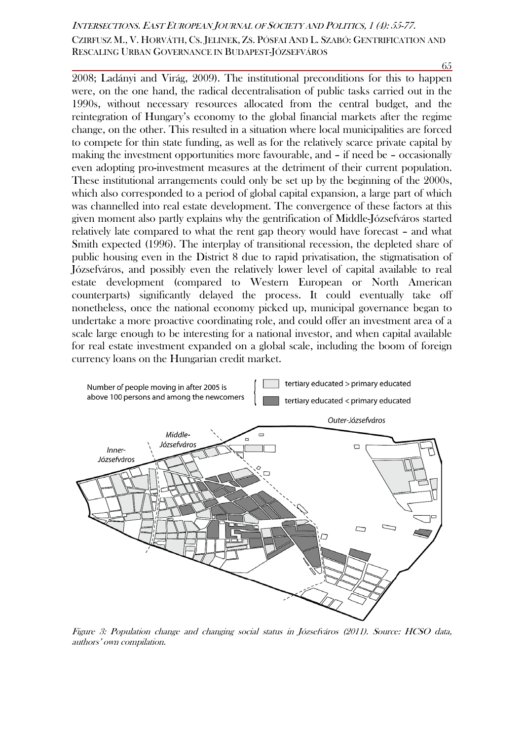65

2008; Ladányi and Virág, 2009). The institutional preconditions for this to happen were, on the one hand, the radical decentralisation of public tasks carried out in the 1990s, without necessary resources allocated from the central budget, and the reintegration of Hungary's economy to the global financial markets after the regime change, on the other. This resulted in a situation where local municipalities are forced to compete for thin state funding, as well as for the relatively scarce private capital by making the investment opportunities more favourable, and – if need be – occasionally even adopting pro-investment measures at the detriment of their current population. These institutional arrangements could only be set up by the beginning of the 2000s, which also corresponded to a period of global capital expansion, a large part of which was channelled into real estate development. The convergence of these factors at this given moment also partly explains why the gentrification of Middle-Józsefváros started relatively late compared to what the rent gap theory would have forecast – and what Smith expected (1996). The interplay of transitional recession, the depleted share of public housing even in the District 8 due to rapid privatisation, the stigmatisation of Józsefváros, and possibly even the relatively lower level of capital available to real estate development (compared to Western European or North American counterparts) significantly delayed the process. It could eventually take off nonetheless, once the national economy picked up, municipal governance began to undertake a more proactive coordinating role, and could offer an investment area of a scale large enough to be interesting for a national investor, and when capital available for real estate investment expanded on a global scale, including the boom of foreign currency loans on the Hungarian credit market.



Figure 3: Population change and changing social status in Józsefváros (2011). Source: HCSO data, authors' own compilation.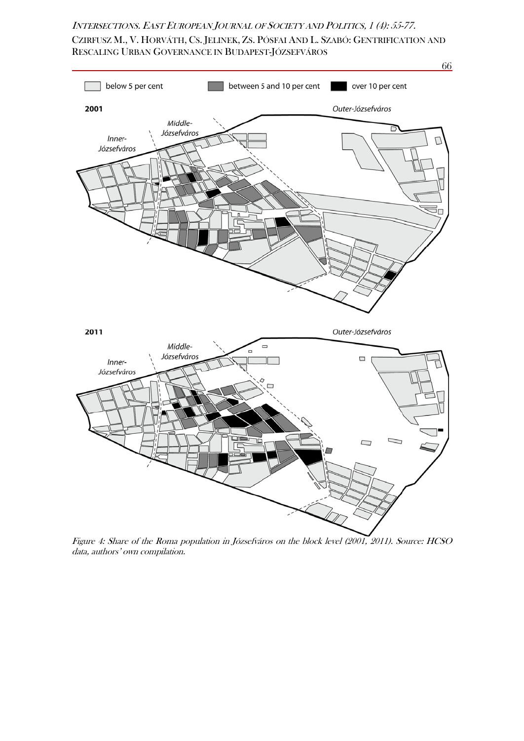CZIRFUSZ M., V. HORVÁTH, CS. JELINEK, ZS. PÓSFAI AND L. SZABÓ: GENTRIFICATION AND RESCALING URBAN GOVERNANCE IN BUDAPEST-JÓZSEFVÁROS



Figure 4: Share of the Roma population in Józsefváros on the block level (2001, 2011). Source: HCSO data, authors' own compilation.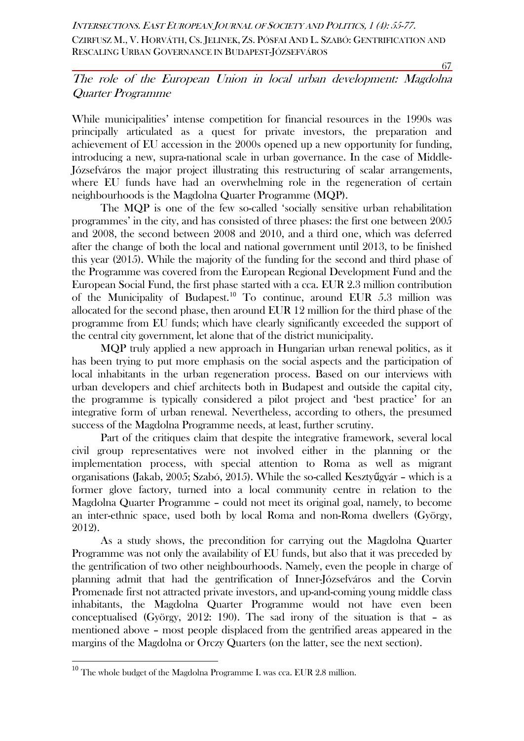67

## The role of the European Union in local urban development: Magdolna Quarter Programme

While municipalities' intense competition for financial resources in the 1990s was principally articulated as a quest for private investors, the preparation and achievement of EU accession in the 2000s opened up a new opportunity for funding, introducing a new, supra-national scale in urban governance. In the case of Middle-Józsefváros the major project illustrating this restructuring of scalar arrangements, where EU funds have had an overwhelming role in the regeneration of certain neighbourhoods is the Magdolna Quarter Programme (MQP).

The MQP is one of the few so-called 'socially sensitive urban rehabilitation programmes' in the city, and has consisted of three phases: the first one between 2005 and 2008, the second between 2008 and 2010, and a third one, which was deferred after the change of both the local and national government until 2013, to be finished this year (2015). While the majority of the funding for the second and third phase of the Programme was covered from the European Regional Development Fund and the European Social Fund, the first phase started with a cca. EUR 2.3 million contribution of the Municipality of Budapest.<sup>[10](#page-12-0)</sup> To continue, around EUR  $5.3$  million was allocated for the second phase, then around EUR 12 million for the third phase of the programme from EU funds; which have clearly significantly exceeded the support of the central city government, let alone that of the district municipality.

MQP truly applied a new approach in Hungarian urban renewal politics, as it has been trying to put more emphasis on the social aspects and the participation of local inhabitants in the urban regeneration process. Based on our interviews with urban developers and chief architects both in Budapest and outside the capital city, the programme is typically considered a pilot project and 'best practice' for an integrative form of urban renewal. Nevertheless, according to others, the presumed success of the Magdolna Programme needs, at least, further scrutiny.

Part of the critiques claim that despite the integrative framework, several local civil group representatives were not involved either in the planning or the implementation process, with special attention to Roma as well as migrant organisations (Jakab, 2005; Szabó, 2015). While the so-called Kesztyűgyár – which is a former glove factory, turned into a local community centre in relation to the Magdolna Quarter Programme – could not meet its original goal, namely, to become an inter-ethnic space, used both by local Roma and non-Roma dwellers (György, 2012).

As a study shows, the precondition for carrying out the Magdolna Quarter Programme was not only the availability of EU funds, but also that it was preceded by the gentrification of two other neighbourhoods. Namely, even the people in charge of planning admit that had the gentrification of Inner-Józsefváros and the Corvin Promenade first not attracted private investors, and up-and-coming young middle class inhabitants, the Magdolna Quarter Programme would not have even been conceptualised (György, 2012: 190). The sad irony of the situation is that – as mentioned above – most people displaced from the gentrified areas appeared in the margins of the Magdolna or Orczy Quarters (on the latter, see the next section).

<span id="page-12-0"></span> $10$  The whole budget of the Magdolna Programme I. was cca. EUR 2.8 million.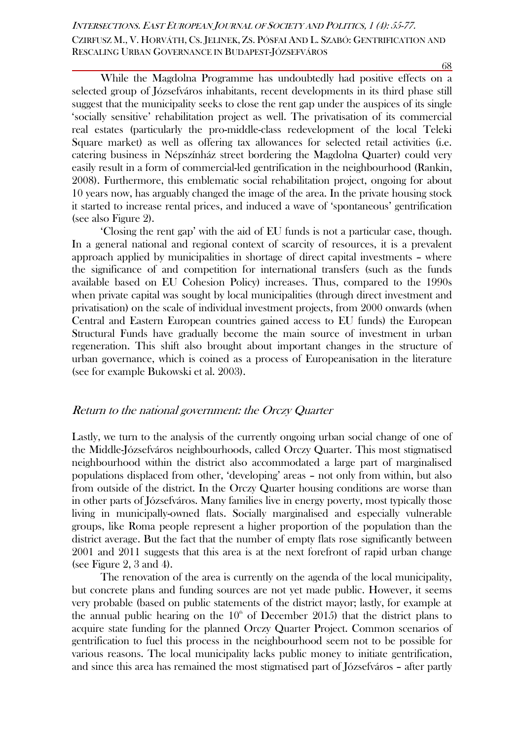While the Magdolna Programme has undoubtedly had positive effects on a selected group of Józsefváros inhabitants, recent developments in its third phase still suggest that the municipality seeks to close the rent gap under the auspices of its single 'socially sensitive' rehabilitation project as well. The privatisation of its commercial real estates (particularly the pro-middle-class redevelopment of the local Teleki Square market) as well as offering tax allowances for selected retail activities (i.e. catering business in Népszínház street bordering the Magdolna Quarter) could very easily result in a form of commercial-led gentrification in the neighbourhood (Rankin, 2008). Furthermore, this emblematic social rehabilitation project, ongoing for about 10 years now, has arguably changed the image of the area. In the private housing stock it started to increase rental prices, and induced a wave of 'spontaneous' gentrification (see also Figure 2).

'Closing the rent gap' with the aid of EU funds is not a particular case, though. In a general national and regional context of scarcity of resources, it is a prevalent approach applied by municipalities in shortage of direct capital investments – where the significance of and competition for international transfers (such as the funds available based on EU Cohesion Policy) increases. Thus, compared to the 1990s when private capital was sought by local municipalities (through direct investment and privatisation) on the scale of individual investment projects, from 2000 onwards (when Central and Eastern European countries gained access to EU funds) the European Structural Funds have gradually become the main source of investment in urban regeneration. This shift also brought about important changes in the structure of urban governance, which is coined as a process of Europeanisation in the literature (see for example Bukowski et al. 2003).

#### Return to the national government: the Orczy Quarter

Lastly, we turn to the analysis of the currently ongoing urban social change of one of the Middle-Józsefváros neighbourhoods, called Orczy Quarter. This most stigmatised neighbourhood within the district also accommodated a large part of marginalised populations displaced from other, 'developing' areas – not only from within, but also from outside of the district. In the Orczy Quarter housing conditions are worse than in other parts of Józsefváros. Many families live in energy poverty, most typically those living in municipally-owned flats. Socially marginalised and especially vulnerable groups, like Roma people represent a higher proportion of the population than the district average. But the fact that the number of empty flats rose significantly between 2001 and 2011 suggests that this area is at the next forefront of rapid urban change (see Figure 2, 3 and 4).

The renovation of the area is currently on the agenda of the local municipality, but concrete plans and funding sources are not yet made public. However, it seems very probable (based on public statements of the district mayor; lastly, for example at the annual public hearing on the  $10<sup>th</sup>$  of December 2015) that the district plans to acquire state funding for the planned Orczy Quarter Project. Common scenarios of gentrification to fuel this process in the neighbourhood seem not to be possible for various reasons. The local municipality lacks public money to initiate gentrification, and since this area has remained the most stigmatised part of Józsefváros – after partly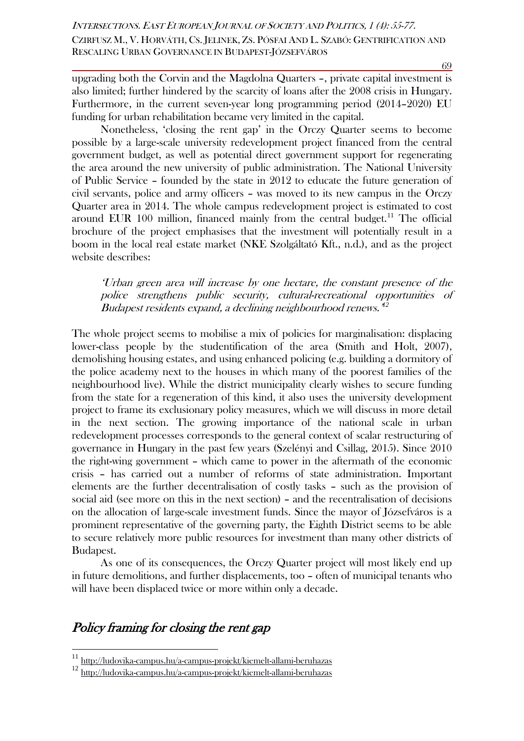69

upgrading both the Corvin and the Magdolna Quarters –, private capital investment is also limited; further hindered by the scarcity of loans after the 2008 crisis in Hungary. Furthermore, in the current seven-year long programming period (2014–2020) EU funding for urban rehabilitation became very limited in the capital.

Nonetheless, 'closing the rent gap' in the Orczy Quarter seems to become possible by a large-scale university redevelopment project financed from the central government budget, as well as potential direct government support for regenerating the area around the new university of public administration. The National University of Public Service – founded by the state in 2012 to educate the future generation of civil servants, police and army officers – was moved to its new campus in the Orczy Quarter area in 2014. The whole campus redevelopment project is estimated to cost around EUR 100 million, financed mainly from the central budget.<sup>[11](#page-14-0)</sup> The official brochure of the project emphasises that the investment will potentially result in a boom in the local real estate market (NKE Szolgáltató Kft., n.d.), and as the project website describes:

'Urban green area will increase by one hectare, the constant presence of the police strengthens public security, cultural-recreational opportunities of Budapest residents expand, a declining neighbourhood renews.'*[12](#page-14-1)*

The whole project seems to mobilise a mix of policies for marginalisation: displacing lower-class people by the studentification of the area (Smith and Holt, 2007), demolishing housing estates, and using enhanced policing (e.g. building a dormitory of the police academy next to the houses in which many of the poorest families of the neighbourhood live). While the district municipality clearly wishes to secure funding from the state for a regeneration of this kind, it also uses the university development project to frame its exclusionary policy measures, which we will discuss in more detail in the next section. The growing importance of the national scale in urban redevelopment processes corresponds to the general context of scalar restructuring of governance in Hungary in the past few years (Szelényi and Csillag, 2015). Since 2010 the right-wing government – which came to power in the aftermath of the economic crisis – has carried out a number of reforms of state administration. Important elements are the further decentralisation of costly tasks – such as the provision of social aid (see more on this in the next section) – and the recentralisation of decisions on the allocation of large-scale investment funds. Since the mayor of Józsefváros is a prominent representative of the governing party, the Eighth District seems to be able to secure relatively more public resources for investment than many other districts of Budapest.

As one of its consequences, the Orczy Quarter project will most likely end up in future demolitions, and further displacements, too – often of municipal tenants who will have been displaced twice or more within only a decade.

## Policy framing for closing the rent gap

<span id="page-14-0"></span> <sup>11</sup> <http://ludovika-campus.hu/a-campus-projekt/kiemelt-allami-beruhazas>

<span id="page-14-1"></span><sup>12</sup> <http://ludovika-campus.hu/a-campus-projekt/kiemelt-allami-beruhazas>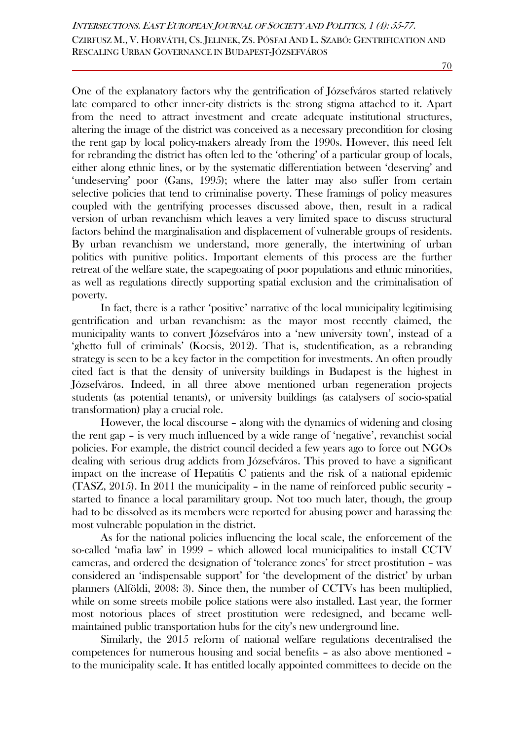One of the explanatory factors why the gentrification of Józsefváros started relatively late compared to other inner-city districts is the strong stigma attached to it. Apart from the need to attract investment and create adequate institutional structures, altering the image of the district was conceived as a necessary precondition for closing the rent gap by local policy-makers already from the 1990s. However, this need felt for rebranding the district has often led to the 'othering' of a particular group of locals, either along ethnic lines, or by the systematic differentiation between 'deserving' and 'undeserving' poor (Gans, 1995); where the latter may also suffer from certain selective policies that tend to criminalise poverty. These framings of policy measures coupled with the gentrifying processes discussed above, then, result in a radical version of urban revanchism which leaves a very limited space to discuss structural factors behind the marginalisation and displacement of vulnerable groups of residents. By urban revanchism we understand, more generally, the intertwining of urban politics with punitive politics. Important elements of this process are the further retreat of the welfare state, the scapegoating of poor populations and ethnic minorities, as well as regulations directly supporting spatial exclusion and the criminalisation of poverty.

In fact, there is a rather 'positive' narrative of the local municipality legitimising gentrification and urban revanchism: as the mayor most recently claimed, the municipality wants to convert Józsefváros into a 'new university town', instead of a 'ghetto full of criminals' (Kocsis, 2012). That is, studentification, as a rebranding strategy is seen to be a key factor in the competition for investments. An often proudly cited fact is that the density of university buildings in Budapest is the highest in Józsefváros. Indeed, in all three above mentioned urban regeneration projects students (as potential tenants), or university buildings (as catalysers of socio-spatial transformation) play a crucial role.

However, the local discourse – along with the dynamics of widening and closing the rent gap – is very much influenced by a wide range of 'negative', revanchist social policies. For example, the district council decided a few years ago to force out NGOs dealing with serious drug addicts from Józsefváros. This proved to have a significant impact on the increase of Hepatitis C patients and the risk of a national epidemic (TASZ, 2015). In 2011 the municipality – in the name of reinforced public security – started to finance a local paramilitary group. Not too much later, though, the group had to be dissolved as its members were reported for abusing power and harassing the most vulnerable population in the district.

As for the national policies influencing the local scale, the enforcement of the so-called 'mafia law' in 1999 – which allowed local municipalities to install CCTV cameras, and ordered the designation of 'tolerance zones' for street prostitution – was considered an 'indispensable support' for 'the development of the district' by urban planners (Alföldi, 2008: 3). Since then, the number of CCTVs has been multiplied, while on some streets mobile police stations were also installed. Last year, the former most notorious places of street prostitution were redesigned, and became wellmaintained public transportation hubs for the city's new underground line.

Similarly, the 2015 reform of national welfare regulations decentralised the competences for numerous housing and social benefits – as also above mentioned – to the municipality scale. It has entitled locally appointed committees to decide on the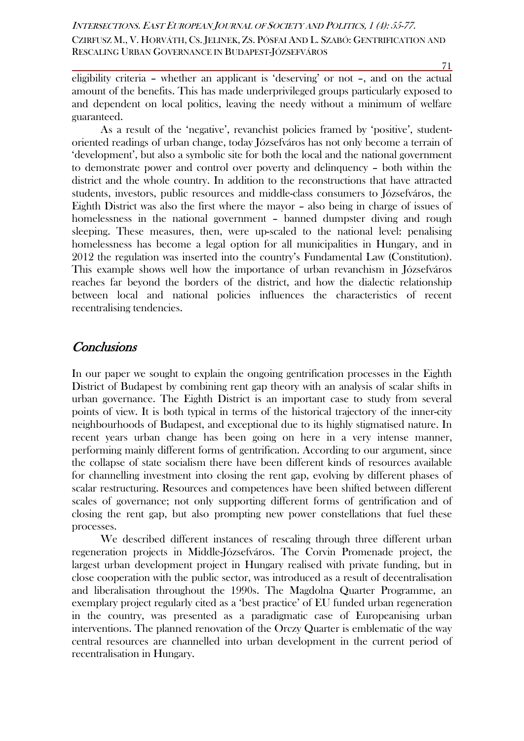eligibility criteria – whether an applicant is 'deserving' or not –, and on the actual amount of the benefits. This has made underprivileged groups particularly exposed to and dependent on local politics, leaving the needy without a minimum of welfare guaranteed.

As a result of the 'negative', revanchist policies framed by 'positive', studentoriented readings of urban change, today Józsefváros has not only become a terrain of 'development', but also a symbolic site for both the local and the national government to demonstrate power and control over poverty and delinquency – both within the district and the whole country. In addition to the reconstructions that have attracted students, investors, public resources and middle-class consumers to Józsefváros, the Eighth District was also the first where the mayor – also being in charge of issues of homelessness in the national government – banned dumpster diving and rough sleeping. These measures, then, were up-scaled to the national level: penalising homelessness has become a legal option for all municipalities in Hungary, and in 2012 the regulation was inserted into the country's Fundamental Law (Constitution). This example shows well how the importance of urban revanchism in Józsefváros reaches far beyond the borders of the district, and how the dialectic relationship between local and national policies influences the characteristics of recent recentralising tendencies.

## **Conclusions**

In our paper we sought to explain the ongoing gentrification processes in the Eighth District of Budapest by combining rent gap theory with an analysis of scalar shifts in urban governance. The Eighth District is an important case to study from several points of view. It is both typical in terms of the historical trajectory of the inner-city neighbourhoods of Budapest, and exceptional due to its highly stigmatised nature. In recent years urban change has been going on here in a very intense manner, performing mainly different forms of gentrification. According to our argument, since the collapse of state socialism there have been different kinds of resources available for channelling investment into closing the rent gap, evolving by different phases of scalar restructuring. Resources and competences have been shifted between different scales of governance; not only supporting different forms of gentrification and of closing the rent gap, but also prompting new power constellations that fuel these processes.

We described different instances of rescaling through three different urban regeneration projects in Middle-Józsefváros. The Corvin Promenade project, the largest urban development project in Hungary realised with private funding, but in close cooperation with the public sector, was introduced as a result of decentralisation and liberalisation throughout the 1990s. The Magdolna Quarter Programme, an exemplary project regularly cited as a 'best practice' of EU funded urban regeneration in the country, was presented as a paradigmatic case of Europeanising urban interventions. The planned renovation of the Orczy Quarter is emblematic of the way central resources are channelled into urban development in the current period of recentralisation in Hungary.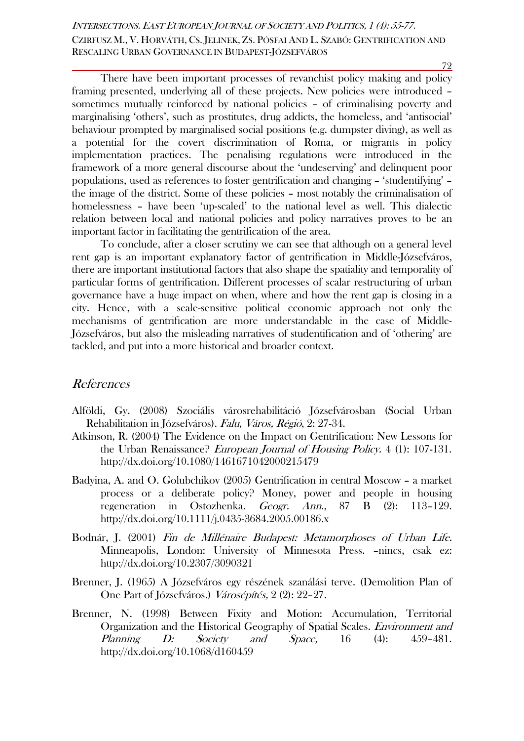There have been important processes of revanchist policy making and policy framing presented, underlying all of these projects. New policies were introduced – sometimes mutually reinforced by national policies – of criminalising poverty and marginalising 'others', such as prostitutes, drug addicts, the homeless, and 'antisocial' behaviour prompted by marginalised social positions (e.g. dumpster diving), as well as a potential for the covert discrimination of Roma, or migrants in policy implementation practices. The penalising regulations were introduced in the framework of a more general discourse about the 'undeserving' and delinquent poor populations, used as references to foster gentrification and changing – 'studentifying' – the image of the district. Some of these policies – most notably the criminalisation of homelessness – have been 'up-scaled' to the national level as well. This dialectic relation between local and national policies and policy narratives proves to be an important factor in facilitating the gentrification of the area.

To conclude, after a closer scrutiny we can see that although on a general level rent gap is an important explanatory factor of gentrification in Middle-Józsefváros, there are important institutional factors that also shape the spatiality and temporality of particular forms of gentrification. Different processes of scalar restructuring of urban governance have a huge impact on when, where and how the rent gap is closing in a city. Hence, with a scale-sensitive political economic approach not only the mechanisms of gentrification are more understandable in the case of Middle-Józsefváros, but also the misleading narratives of studentification and of 'othering' are tackled, and put into a more historical and broader context.

### References

- Alföldi, Gy. (2008) Szociális városrehabilitáció Józsefvárosban (Social Urban Rehabilitation in Józsefváros). Falu, Város, Régió, 2: 27-34.
- Atkinson, R. (2004) The Evidence on the Impact on Gentrification: New Lessons for the Urban Renaissance? *European Journal of Housing Policy.* 4 (1): 107-131. <http://dx.doi.org/10.1080/1461671042000215479>
- Badyina, A. and O. Golubchikov (2005) Gentrification in central Moscow a market process or a deliberate policy? Money, power and people in housing regeneration in Ostozhenka. Geogr. Ann., 87 B (2): 113–129. <http://dx.doi.org/10.1111/j.0435-3684.2005.00186.x>
- Bodnár, J. (2001) Fin de Millénaire Budapest: Metamorphoses of Urban Life. Minneapolis, London: University of Minnesota Press. –nincs, csak ez: <http://dx.doi.org/10.2307/3090321>
- Brenner, J. (1965) A Józsefváros egy részének szanálási terve. (Demolition Plan of One Part of Józsefváros.) Városépítés, 2 (2): 22–27.
- Brenner, N. (1998) Between Fixity and Motion: Accumulation, Territorial Organization and the Historical Geography of Spatial Scales. Environment and Planning D: Society and Space, 16 (4): 459-481. <http://dx.doi.org/10.1068/d160459>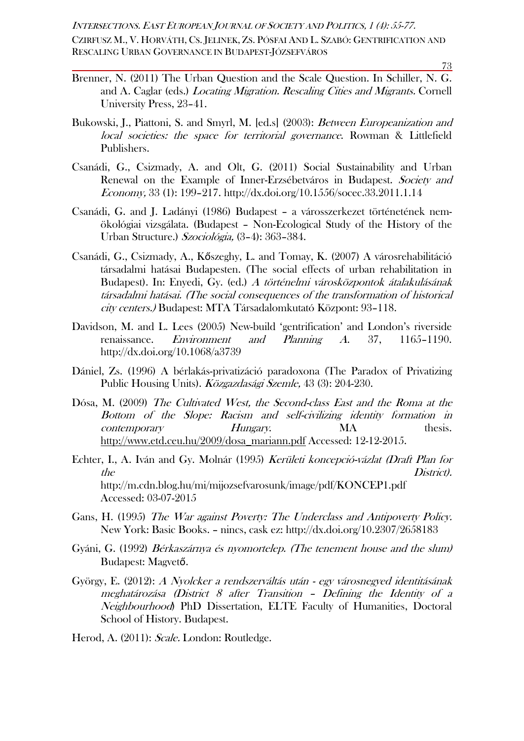CZIRFUSZ M., V. HORVÁTH, CS. JELINEK, ZS. PÓSFAI AND L. SZABÓ: GENTRIFICATION AND RESCALING URBAN GOVERNANCE IN BUDAPEST-JÓZSEFVÁROS

73

- Brenner, N. (2011) The Urban Question and the Scale Question. In Schiller, N. G. and A. Caglar (eds.) Locating Migration. Rescaling Cities and Migrants. Cornell University Press, 23–41.
- Bukowski, J., Piattoni, S. and Smyrl, M. [ed.s] (2003): Between Europeanization and local societies: the space for territorial governance. Rowman & Littlefield Publishers.
- Csanádi, G., Csizmady, A. and Olt, G. (2011) Social Sustainability and Urban Renewal on the Example of Inner-Erzsébetváros in Budapest. Society and Economy, 33 (1): 199–217. <http://dx.doi.org/10.1556/socec.33.2011.1.14>
- Csanádi, G. and J. Ladányi (1986) Budapest a városszerkezet történetének nemökológiai vizsgálata. (Budapest – Non-Ecological Study of the History of the Urban Structure.) Szociológia, (3–4): 363–384.
- Csanádi, G., Csizmady, A., Kőszeghy, L. and Tomay, K. (2007) A városrehabilitáció társadalmi hatásai Budapesten. (The social effects of urban rehabilitation in Budapest). In: Enyedi, Gy. (ed.) A történelmi városközpontok átalakulásának társadalmi hatásai. (The social consequences of the transformation of historical city centers.) Budapest: MTA Társadalomkutató Központ: 93–118.
- Davidson, M. and L. Lees (2005) New-build 'gentrification' and London's riverside renaissance. Environment and Planning A. 37, 1165–1190. <http://dx.doi.org/10.1068/a3739>
- Dániel, Zs. (1996) A bérlakás-privatizáció paradoxona (The Paradox of Privatizing Public Housing Units). Közgazdasági Szemle, 43 (3): 204-230.
- Dósa, M. (2009) The Cultivated West, the Second-class East and the Roma at the Bottom of the Slope: Racism and self-civilizing identity formation in contemporary *Hungary*. MA thesis. [http://www.etd.ceu.hu/2009/dosa\\_mariann.pdf](http://www.etd.ceu.hu/2009/dosa_mariann.pdf) Accessed: 12-12-2015.
- Echter, I., A. Iván and Gy. Molnár (1995) Kerületi koncepció-vázlat (Draft Plan for the District). http://m.cdn.blog.hu/mi/mijozsefvarosunk/image/pdf/KONCEP1.pdf Accessed: 03-07-2015
- Gans, H. (1995) The War against Poverty: The Underclass and Antipoverty Policy. New York: Basic Books. – nincs, cask ez:<http://dx.doi.org/10.2307/2658183>
- Gyáni, G. (1992) Bérkaszárnya és nyomortelep. (The tenement house and the slum) Budapest: Magvető.
- György, E. (2012): A Nyolcker a rendszerváltás után egy városnegyed identitásának meghatározása (District 8 after Transition – Defining the Identity of a Neighbourhood) PhD Dissertation, ELTE Faculty of Humanities, Doctoral School of History. Budapest.

Herod, A. (2011): Scale. London: Routledge.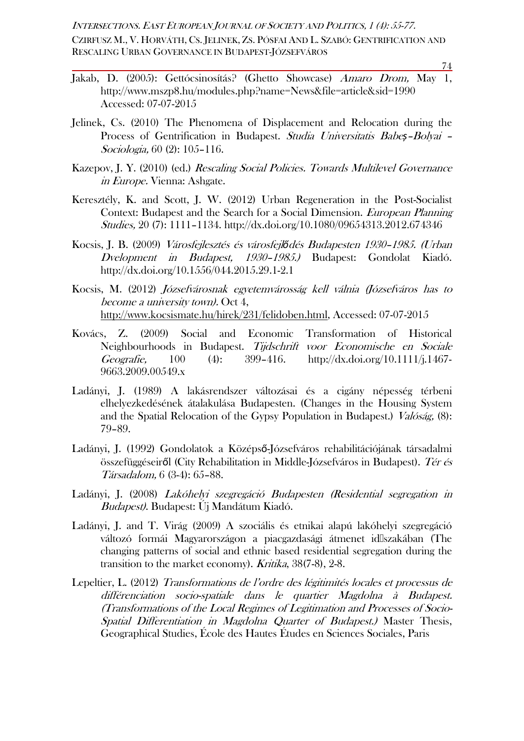CZIRFUSZ M., V. HORVÁTH, CS. JELINEK, ZS. PÓSFAI AND L. SZABÓ: GENTRIFICATION AND RESCALING URBAN GOVERNANCE IN BUDAPEST-JÓZSEFVÁROS

- Jakab, D. (2005): Gettócsinosítás? (Ghetto Showcase) Amaro Drom, May 1, http://www.mszp8.hu/modules.php?name=News&file=article&sid=1990 Accessed: 07-07-2015
- Jelinek, Cs. (2010) The Phenomena of Displacement and Relocation during the Process of Gentrification in Budapest. Studia Universitatis Babe*ș*–Bolyai – Sociologia, 60 (2): 105–116.
- Kazepov, J. Y. (2010) (ed.) Rescaling Social Policies. Towards Multilevel Governance in Europe. Vienna: Ashgate.
- Keresztély, K. and Scott, J. W. (2012) Urban Regeneration in the Post-Socialist Context: Budapest and the Search for a Social Dimension. European Planning Studies, 20 (7): 1111–1134. <http://dx.doi.org/10.1080/09654313.2012.674346>
- Kocsis, J. B. (2009) Városfejlesztés és városfejl*ő*dés Budapesten 1930–1985. (Urban Dvelopment in Budapest, 1930–1985.) Budapest: Gondolat Kiadó. <http://dx.doi.org/10.1556/044.2015.29.1-2.1>
- Kocsis, M. (2012) Józsefvárosnak egyetemvárosság kell válnia (Józsefváros has to become a university town). Oct 4, [http://www.kocsismate.hu/hirek/231/felidoben.html,](http://www.kocsismate.hu/hirek/231/felidoben.html) Accessed: 07-07-2015
- Kovács, Z. (2009) Social and Economic Transformation of Historical Neighbourhoods in Budapest. Tijdschrift voor Economische en Sociale Geografie, 100 (4): 399–416. [http://dx.doi.org/10.1111/j.1467-](http://dx.doi.org/10.1111/j.1467-9663.2009.00549.x) [9663.2009.00549.x](http://dx.doi.org/10.1111/j.1467-9663.2009.00549.x)
- Ladányi, J. (1989) A lakásrendszer változásai és a cigány népesség térbeni elhelyezkedésének átalakulása Budapesten. (Changes in the Housing System and the Spatial Relocation of the Gypsy Population in Budapest.) Valóság, (8): 79–89.
- Ladányi, J. (1992) Gondolatok a Középső-Józsefváros rehabilitációjának társadalmi összefüggéseiről (City Rehabilitation in Middle-Józsefváros in Budapest). Tér és Társadalom, 6 (3-4): 65–88.
- Ladányi, J. (2008) Lakóhelyi szegregáció Budapesten (Residential segregation in Budapest). Budapest: Új Mandátum Kiadó.
- Ladányi, J. and T. Virág (2009) A szociális és etnikai alapú lakóhelyi szegregáció változó formái Magyarországon a piacgazdasági átmenet id�szakában (The changing patterns of social and ethnic based residential segregation during the transition to the market economy). Kritika, 38(7-8), 2-8.
- Lepeltier, L. (2012) Transformations de l'ordre des légitimités locales et processus de différenciation socio-spatiale dans le quartier Magdolna à Budapest. (Transformations of the Local Regimes of Legitimation and Processes of Socio-Spatial Differentiation in Magdolna Quarter of Budapest.) Master Thesis, Geographical Studies, École des Hautes Études en Sciences Sociales, Paris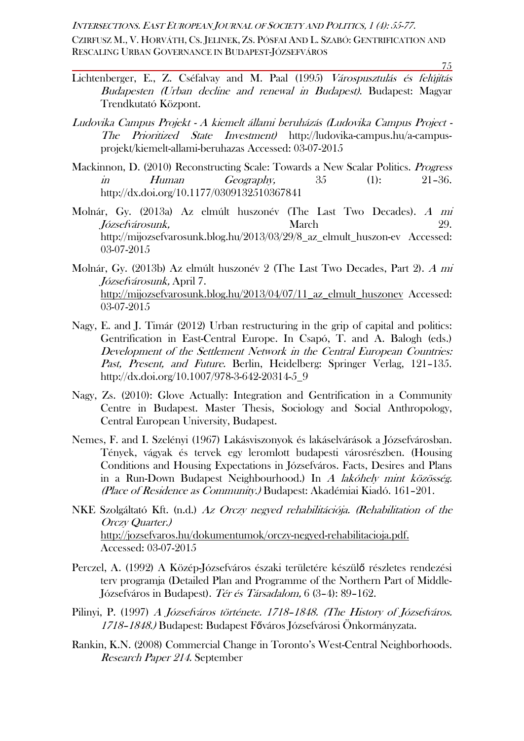CZIRFUSZ M., V. HORVÁTH, CS. JELINEK, ZS. PÓSFAI AND L. SZABÓ: GENTRIFICATION AND RESCALING URBAN GOVERNANCE IN BUDAPEST-JÓZSEFVÁROS

- Lichtenberger, E., Z. Cséfalvay and M. Paal (1995) Várospusztulás és felújítás Budapesten (Urban decline and renewal in Budapest). Budapest: Magyar Trendkutató Központ.
- Ludovika Campus Projekt A kiemelt állami beruházás (Ludovika Campus Project The Prioritized State Investment) http://ludovika-campus.hu/a-campusprojekt/kiemelt-allami-beruhazas Accessed: 03-07-2015
- Mackinnon, D. (2010) Reconstructing Scale: Towards a New Scalar Politics. *Progress*  $\dot{m}$  Human Geography,  $35$  (1):  $21-36$ . <http://dx.doi.org/10.1177/0309132510367841>
- Molnár, Gy. (2013a) Az elmúlt huszonév (The Last Two Decades). A mi Józsefvárosunk, March 29. http://mijozsefvarosunk.blog.hu/2013/03/29/8\_az\_elmult\_huszon-ev Accessed: 03-07-2015
- Molnár, Gy. (2013b) Az elmúlt huszonév 2 (The Last Two Decades, Part 2). A mi Józsefvárosunk, April 7. http://mijozsefvarosunk.blog.hu/2013/04/07/11\_az\_elmult\_huszonev\_Accessed: 03-07-2015
- Nagy, E. and J. Timár (2012) Urban restructuring in the grip of capital and politics: Gentrification in East-Central Europe. In Csapó, T. and A. Balogh (eds.) Development of the Settlement Network in the Central European Countries: Past, Present, and Future. Berlin, Heidelberg: Springer Verlag, 121-135. [http://dx.doi.org/10.1007/978-3-642-20314-5\\_9](http://dx.doi.org/10.1007/978-3-642-20314-5_9)
- Nagy, Zs. (2010): Glove Actually: Integration and Gentrification in a Community Centre in Budapest. Master Thesis, Sociology and Social Anthropology, Central European University, Budapest.
- Nemes, F. and I. Szelényi (1967) Lakásviszonyok és lakáselvárások a Józsefvárosban. Tények, vágyak és tervek egy leromlott budapesti városrészben. (Housing Conditions and Housing Expectations in Józsefváros. Facts, Desires and Plans in a Run-Down Budapest Neighbourhood.) In A lakóhely mint közösség. (Place of Residence as Community.) Budapest: Akadémiai Kiadó. 161–201.
- NKE Szolgáltató Kft. (n.d.) Az Orczy negyed rehabilitációja. (Rehabilitation of the Orczy Quarter.) http://jozsefvaros.hu/dokumentumok/orczy-negyed-rehabilitacioja.pdf. Accessed: 03-07-2015
- Perczel, A. (1992) A Közép-Józsefváros északi területére készülő részletes rendezési terv programja (Detailed Plan and Programme of the Northern Part of Middle-Józsefváros in Budapest). Tér és Társadalom, 6 (3–4): 89–162.
- Pilinyi, P. (1997) A Józsefváros története. 1718-1848. (The History of Józsefváros. 1718–1848.) Budapest: Budapest Főváros Józsefvárosi Önkormányzata.
- Rankin, K.N. (2008) Commercial Change in Toronto's West-Central Neighborhoods. Research Paper 214. September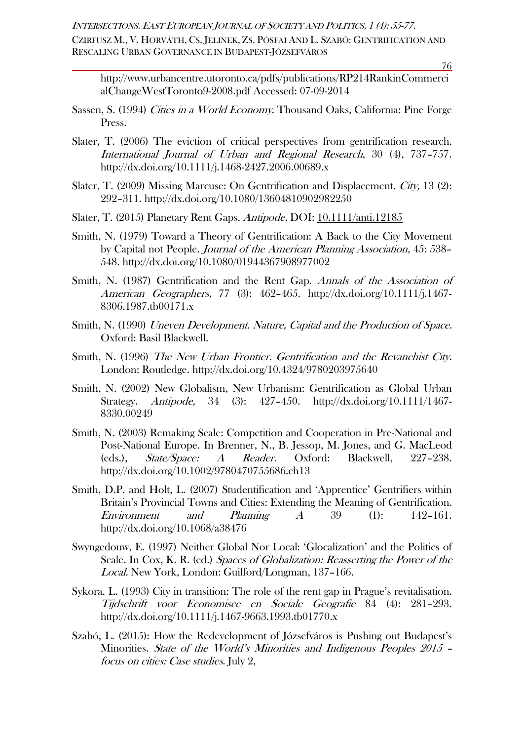CZIRFUSZ M., V. HORVÁTH, CS. JELINEK, ZS. PÓSFAI AND L. SZABÓ: GENTRIFICATION AND RESCALING URBAN GOVERNANCE IN BUDAPEST-JÓZSEFVÁROS

76

http://www.urbancentre.utoronto.ca/pdfs/publications/RP214RankinCommerci alChangeWestToronto9-2008.pdf Accessed: 07-09-2014

- Sassen, S. (1994) Cities in a World Economy. Thousand Oaks, California: Pine Forge Press.
- Slater, T. (2006) The eviction of critical perspectives from gentrification research. International Journal of Urban and Regional Research, 30 (4), 737–757. <http://dx.doi.org/10.1111/j.1468-2427.2006.00689.x>
- Slater, T. (2009) Missing Marcuse: On Gentrification and Displacement. City, 13 (2): 292–311. <http://dx.doi.org/10.1080/13604810902982250>
- Slater, T. (2015) Planetary Rent Gaps. Antipode, DOI: [10.1111/anti.12185](http://dx.doi.org/10.1111/anti.12185)
- Smith, N. (1979) Toward a Theory of Gentrification: A Back to the City Movement by Capital not People. Journal of the American Planning Association, 45: 538– 548. <http://dx.doi.org/10.1080/01944367908977002>
- Smith, N. (1987) Gentrification and the Rent Gap. Annals of the Association of American Geographers, 77 (3): 462–465. [http://dx.doi.org/10.1111/j.1467-](http://dx.doi.org/10.1111/j.1467-8306.1987.tb00171.x) [8306.1987.tb00171.x](http://dx.doi.org/10.1111/j.1467-8306.1987.tb00171.x)
- Smith, N. (1990) Uneven Development. Nature, Capital and the Production of Space. Oxford: Basil Blackwell.
- Smith, N. (1996) The New Urban Frontier. Gentrification and the Revanchist City. London: Routledge. <http://dx.doi.org/10.4324/9780203975640>
- Smith, N. (2002) New Globalism, New Urbanism: Gentrification as Global Urban Strategy. Antipode, 34 (3): 427–450. [http://dx.doi.org/10.1111/1467-](http://dx.doi.org/10.1111/1467-8330.00249) [8330.00249](http://dx.doi.org/10.1111/1467-8330.00249)
- Smith, N. (2003) Remaking Scale: Competition and Cooperation in Pre-National and Post-National Europe. In Brenner, N., B. Jessop, M. Jones, and G. MacLeod (eds.), State/Space: A Reader. Oxford: Blackwell, 227–238. <http://dx.doi.org/10.1002/9780470755686.ch13>
- Smith, D.P. and Holt, L. (2007) Studentification and 'Apprentice' Gentrifiers within Britain's Provincial Towns and Cities: Extending the Meaning of Gentrification. Environment and Planning  $A$  39 (1): 142–161. <http://dx.doi.org/10.1068/a38476>
- Swyngedouw, E. (1997) Neither Global Nor Local: 'Glocalization' and the Politics of Scale. In Cox, K. R. (ed.) Spaces of Globalization: Reasserting the Power of the Local. New York, London: Guilford/Longman, 137–166.
- Sykora. L. (1993) City in transition: The role of the rent gap in Prague's revitalisation. Tijdschrift voor Economisce en Sociale Geografie 84 (4): 281–293. <http://dx.doi.org/10.1111/j.1467-9663.1993.tb01770.x>
- Szabó, L. (2015): How the Redevelopment of Józsefváros is Pushing out Budapest's Minorities. State of the World's Minorities and Indigenous Peoples 2015 – focus on cities: Case studies. July 2,